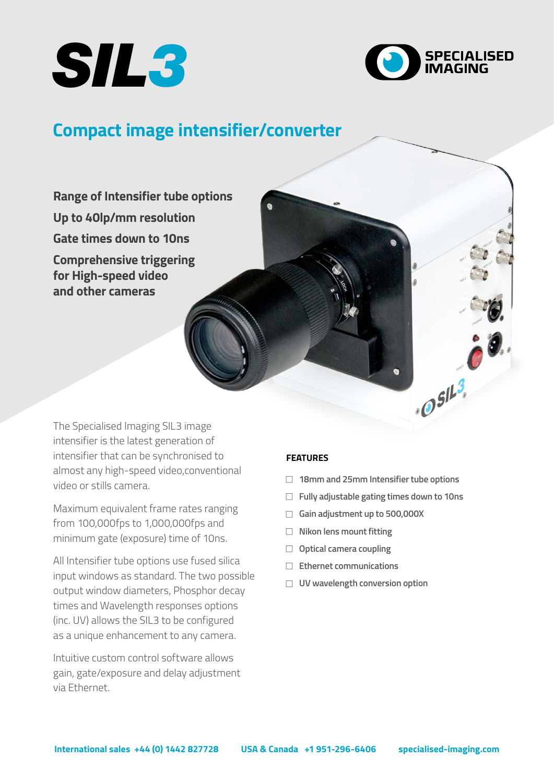



 $.0^{5113}$ 

# **Compact image intensifier/converter**

**Range of Intensifier tube options Up to 40lp/mm resolution Gate times down to 10ns Comprehensive triggering for High-speed video and other cameras**

The Specialised Imaging SIL3 image intensifier is the latest generation of intensifier that can be synchronised to almost any high-speed video,conventional video or stills camera.

Maximum equivalent frame rates ranging from 100,000fps to 1,000,000fps and minimum gate (exposure) time of 10ns.

All Intensifier tube options use fused silica input windows as standard. The two possible output window diameters, Phosphor decay times and Wavelength responses options (inc. UV) allows the SIL3 to be configured as a unique enhancement to any camera.

Intuitive custom control software allows gain, gate/exposure and delay adjustment via Ethernet.

## **FEATURES**

- <sup>F</sup> **18mm and 25mm Intensifier tube options**
- □ Fully adjustable gating times down to 10ns
- <sup>F</sup> **Gain adjustment up to 500,000X**
- □ Nikon lens mount fitting
- **D** Optical camera coupling
- □ Ethernet communications
- <sup>F</sup> **UV wavelength conversion option**